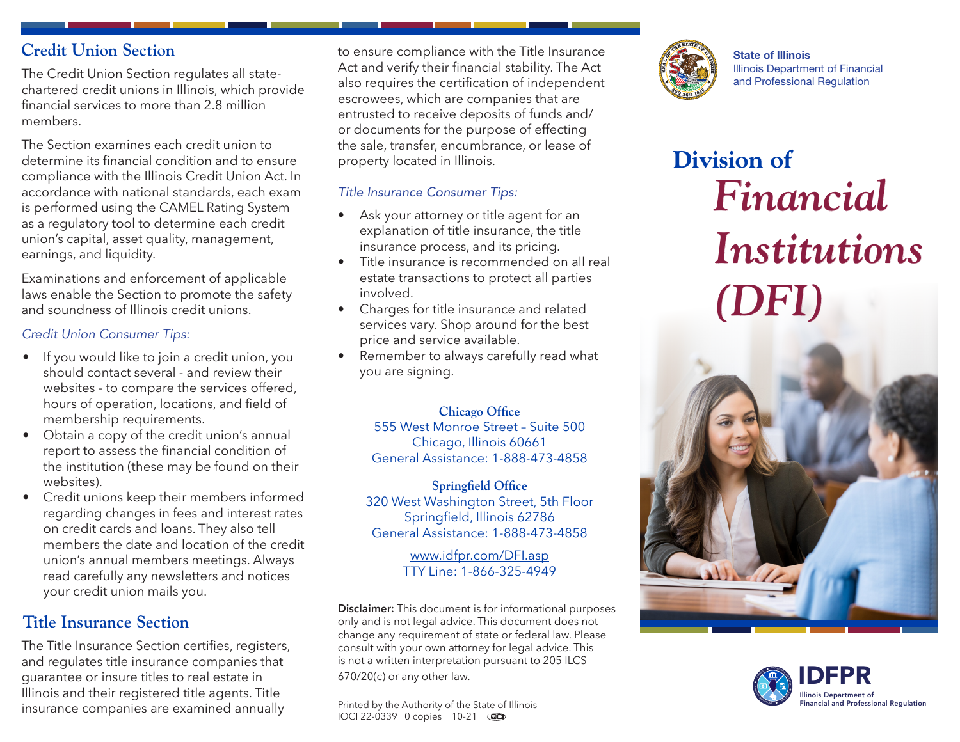## **Credit Union Section**

The Credit Union Section regulates all statechartered credit unions in Illinois, which provide financial services to more than 2.8 million members.

The Section examines each credit union to determine its financial condition and to ensure compliance with the Illinois Credit Union Act. In accordance with national standards, each exam is performed using the CAMEL Rating System as a regulatory tool to determine each credit union's capital, asset quality, management, earnings, and liquidity.

Examinations and enforcement of applicable laws enable the Section to promote the safety and soundness of Illinois credit unions.

### *Credit Union Consumer Tips:*

- If you would like to join a credit union, you should contact several - and review their websites - to compare the services offered, hours of operation, locations, and field of membership requirements.
- Obtain a copy of the credit union's annual report to assess the financial condition of the institution (these may be found on their websites).
- Credit unions keep their members informed regarding changes in fees and interest rates on credit cards and loans. They also tell members the date and location of the credit union's annual members meetings. Always read carefully any newsletters and notices your credit union mails you.

# **Title Insurance Section**

The Title Insurance Section certifies, registers, and regulates title insurance companies that guarantee or insure titles to real estate in Illinois and their registered title agents. Title insurance companies are examined annually

to ensure compliance with the Title Insurance Act and verify their financial stability. The Act also requires the certification of independent escrowees, which are companies that are entrusted to receive deposits of funds and/ or documents for the purpose of effecting the sale, transfer, encumbrance, or lease of property located in Illinois.

### *Title Insurance Consumer Tips:*

- Ask your attorney or title agent for an explanation of title insurance, the title insurance process, and its pricing.
- Title insurance is recommended on all real estate transactions to protect all parties involved.
- Charges for title insurance and related services vary. Shop around for the best price and service available.
- Remember to always carefully read what you are signing.

### **Chicago Office**

555 West Monroe Street – Suite 500 Chicago, Illinois 60661 General Assistance: 1-888-473-4858

#### **Springfield Office** 320 West Washington Street, 5th Floor

Springfield, Illinois 62786 General Assistance: 1-888-473-4858

### www.idfpr.com/DFI.asp TTY Line: 1-866-325-4949

**Disclaimer:** This document is for informational purposes only and is not legal advice. This document does not change any requirement of state or federal law. Please consult with your own attorney for legal advice. This is not a written interpretation pursuant to 205 ILCS 670/20(c) or any other law.

Printed by the Authority of the State of Illinois IOCI 22-0339 0 copies 10-21



State of Illinois Illinois Department of Financial and Professional Regulation

# **Division of** *Financial Institutions (DFI)*